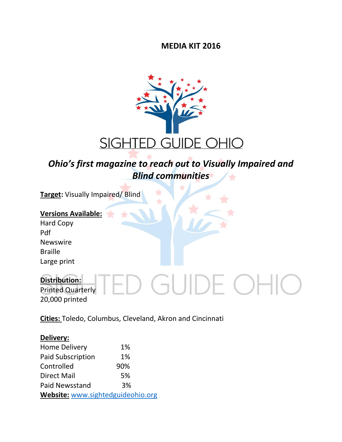**MEDIA KIT 2016**



### *Ohio's first magazine to reach out to Visually Impaired and Blind communities*

Ŕ

**Target:** Visually Impaired/ Blind

### **Versions Available:**

Hard Copy Pdf Newswire Braille Large print

#### **Distribution:**  E OF  $\overline{\phantom{a}}$ Printed Quarterly 20,000 printed

**Cities:** Toledo, Columbus, Cleveland, Akron and Cincinnati

#### **Delivery:**

| <b>Home Delivery</b>              | 1%  |  |
|-----------------------------------|-----|--|
| <b>Paid Subscription</b>          | 1%  |  |
| Controlled                        | 90% |  |
| <b>Direct Mail</b>                | 5%  |  |
| <b>Paid Newsstand</b>             | 3%  |  |
| Website: www.sightedguideohio.org |     |  |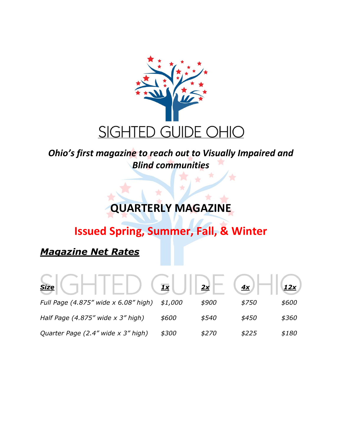

## *Ohio's first magazine to reach out to Visually Impaired and Blind communities*

## **QUARTERLY MAGAZINE**

# **Issued Spring, Summer, Fall, & Winter**

## *Magazine Net Rates*

| <b>Size</b>                            | $\frac{1}{1}$ | 2x           | 4x    |       |
|----------------------------------------|---------------|--------------|-------|-------|
| Full Page (4.875" wide x 6.08" high)   | \$1,000       | \$900        | \$750 | \$600 |
| Half Page $(4.875''$ wide $x$ 3" high) | \$600         | \$540        | \$450 | \$360 |
| Quarter Page (2.4" wide x 3" high)     | \$300         | <i>\$270</i> | \$225 | \$180 |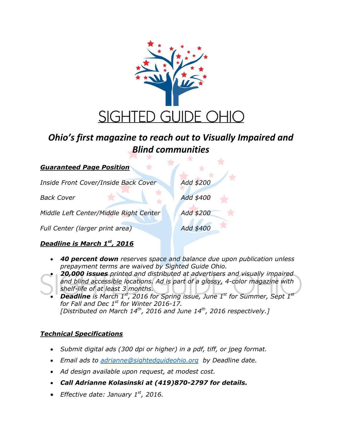

## *Ohio's first magazine to reach out to Visually Impaired and Blind communities*

| Inside Front Cover/Inside Back Cover   | Add \$200 |
|----------------------------------------|-----------|
| <b>Back Cover</b>                      | Add \$400 |
| Middle Left Center/Middle Right Center | Add \$200 |
| Full Center (larger print area)        | Add \$400 |

### *Deadline is March 1st, 2016*

*Guaranteed Page Position*

- *40 percent down reserves space and balance due upon publication unless prepayment terms are waived by Sighted Guide Ohio.*
- *20,000 issues printed and distributed at advertisers and visually impaired and blind accessible locations. Ad is part of a glossy, 4-color magazine with shelf-life of at least 3 months.*
	- *Deadline is March 1st, 2016 for Spring issue, June 1 st for Summer, Sept 1st for Fall and Dec 1st for Winter 2016-17. [Distributed on March 14th, 2016 and June 14th, 2016 respectively.]*

### *Technical Specifications*

- *Submit digital ads (300 dpi or higher) in a pdf, tiff, or jpeg format.*
- *Email ads to [adrianne@sightedguideohio.org](mailto:adrianne@vifas.org) by Deadline date.*
- *Ad design available upon request, at modest cost.*
- *Call Adrianne Kolasinski at (419)870-2797 for details.*
- *Effective date: January 1st, 2016.*